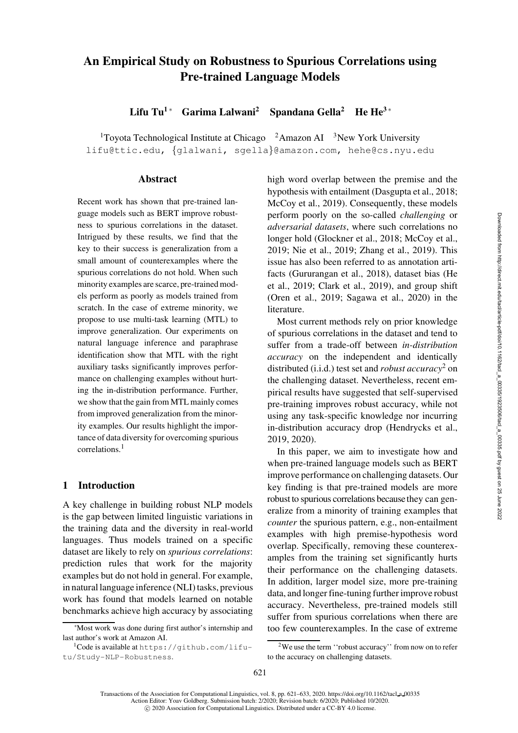# An Empirical Study on Robustness to Spurious Correlations using Pre-trained Language Models

Lifu Tu<sup>1</sup> \* Garima Lalwani<sup>2</sup> Spandana Gella<sup>2</sup> He He<sup>3 ∗</sup>

<sup>1</sup>Toyota Technological Institute at Chicago  $2A$ mazon AI  $3New$  York University [lifu@ttic.edu,](mailto:lifu@ttic.edu) {[glalwani,](mailto:glalwani@amazon.com) [sgella](mailto:sgella@amazon.com)}@amazon.com, [hehe@cs.nyu.edu](mailto:hehe@cs.nyu.edu)

### **Abstract**

Recent work has shown that pre-trained language models such as BERT improve robustness to spurious correlations in the dataset. Intrigued by these results, we find that the key to their success is generalization from a small amount of counterexamples where the spurious correlations do not hold. When such minority examples are scarce, pre-trained models perform as poorly as models trained from scratch. In the case of extreme minority, we propose to use multi-task learning (MTL) to improve generalization. Our experiments on natural language inference and paraphrase identification show that MTL with the right auxiliary tasks significantly improves performance on challenging examples without hurting the in-distribution performance. Further, we show that the gain from MTL mainly comes from improved generalization from the minority examples. Our results highlight the importance of data diversity for overcoming spurious correlations.<sup>[1](#page-0-0)</sup>

### 1 Introduction

A key challenge in building robust NLP models is the gap between limited linguistic variations in the training data and the diversity in real-world languages. Thus models trained on a specific dataset are likely to rely on *spurious correlations*: prediction rules that work for the majority examples but do not hold in general. For example, in natural language inference (NLI) tasks, previous work has found that models learned on notable benchmarks achieve high accuracy by associating high word overlap between the premise and the hypothesis with entailment [\(Dasgupta et al.](#page-10-0), [2018;](#page-10-0) [McCoy et al., 2019\)](#page-11-0). Consequently, these models perform poorly on the so-called *challenging* or *adversarial datasets*, where such correlations no longer hold [\(Glockner et al., 2018;](#page-10-1) [McCoy et al.,](#page-11-0) [2019](#page-11-0); [Nie et al.](#page-11-1), [2019;](#page-11-1) [Zhang et al.](#page-12-0), [2019\)](#page-12-0). This issue has also been referred to as annotation artifacts[\(Gururangan et al.](#page-10-2)[,](#page-10-3) [2018](#page-10-2)[\), dataset bias \(](#page-10-3)He et al., [2019;](#page-10-3) [Clark et al.](#page-10-4), [2019\)](#page-10-4), and group shift [\(Oren et al.](#page-11-2), [2019;](#page-11-2) [Sagawa et al., 2020](#page-12-1)) in the literature.

Most current methods rely on prior knowledge of spurious correlations in the dataset and tend to suffer from a trade-off between *in-distribution accuracy* on the independent and identically distributed (i.i.d.) test set and *robust accuracy*[2](#page-0-1) on the challenging dataset. Nevertheless, recent empirical results have suggested that self-supervised pre-training improves robust accuracy, while not using any task-specific knowledge nor incurring in-distribution accuracy drop [\(Hendrycks et al.,](#page-11-3) [2019](#page-11-3), [2020\)](#page-11-4).

In this paper, we aim to investigate how and when pre-trained language models such as BERT improve performance on challenging datasets. Our key finding is that pre-trained models are more robust to spurious correlations becausethey can generalize from a minority of training examples that *counter* the spurious pattern, e.g., non-entailment examples with high premise-hypothesis word overlap. Specifically, removing these counterexamples from the training set significantly hurts their performance on the challenging datasets. In addition, larger model size, more pre-training data, and longer fine-tuning further improve robust accuracy. Nevertheless, pre-trained models still suffer from spurious correlations when there are too few counterexamples. In the case of extreme

621

<sup>∗</sup>Most work was done during first author's internship and last author's work at Amazon AI.

<span id="page-0-0"></span><sup>1</sup>Code is available at [https://github.com/lifu](https://github.com/lifu-tu/Study-NLP-Robustness)[tu/Study-NLP-Robustness](https://github.com/lifu-tu/Study-NLP-Robustness).

<span id="page-0-1"></span><sup>2</sup>We use the term ''robust accuracy'' from now on to refer to the accuracy on challenging datasets.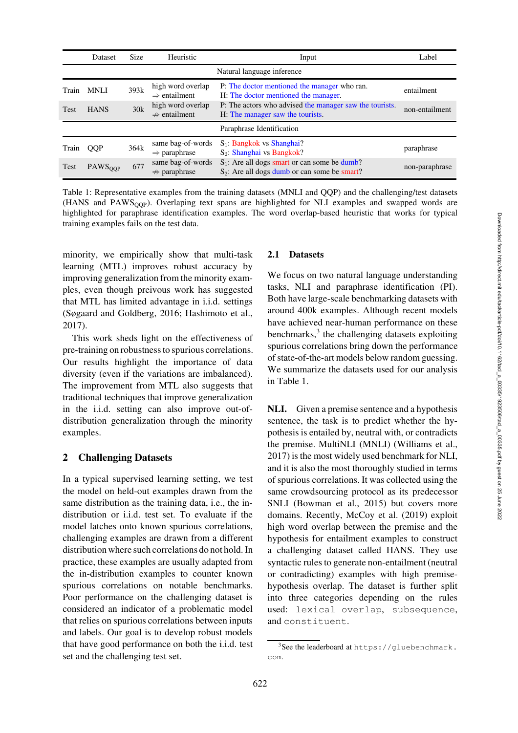|             | Dataset                    | <b>Size</b> | Heuristic                                     | Input                                                                                              | Label          |
|-------------|----------------------------|-------------|-----------------------------------------------|----------------------------------------------------------------------------------------------------|----------------|
|             | Natural language inference |             |                                               |                                                                                                    |                |
| Train       | <b>MNLI</b>                | 393k        | high word overlap<br>$\Rightarrow$ entailment | P: The doctor mentioned the manager who ran.<br>H: The doctor mentioned the manager.               | entailment     |
| <b>Test</b> | <b>HANS</b>                | 30k         | high word overlap<br>$\Rightarrow$ entailment | P: The actors who advised the manager saw the tourists.<br>H: The manager saw the tourists.        | non-entailment |
|             |                            |             |                                               | Paraphrase Identification                                                                          |                |
| Train       | <b>OOP</b>                 | 364k        | same bag-of-words<br>$\Rightarrow$ paraphrase | $S_1$ : Bangkok vs Shanghai?<br>$S_2$ : Shanghai vs Bangkok?                                       | paraphrase     |
| Test        | PAWS <sub>OOP</sub>        | 677         | same bag-of-words<br>$\Rightarrow$ paraphrase | $S_1$ : Are all dogs smart or can some be dumb?<br>$S_2$ : Are all dogs dumb or can some be smart? | non-paraphrase |

<span id="page-1-1"></span>Table 1: Representative examples from the training datasets (MNLI and QQP) and the challenging/test datasets (HANS and PAWSQQP). Overlaping text spans are highlighted for NLI examples and swapped words are highlighted for paraphrase identification examples. The word overlap-based heuristic that works for typical training examples fails on the test data.

minority, we empirically show that multi-task learning (MTL) improves robust accuracy by improving generalization from the minority examples, even though preivous work has suggested that MTL has limited advantage in i.i.d. settings [\(Søgaard and Goldberg](#page-12-2), [2016;](#page-12-2) [Hashimoto et al.,](#page-10-5) [2017](#page-10-5)).

This work sheds light on the effectiveness of pre-training on robustness to spurious correlations. Our results highlight the importance of data diversity (even if the variations are imbalanced). The improvement from MTL also suggests that traditional techniques that improve generalization in the i.i.d. setting can also improve out-ofdistribution generalization through the minority examples.

# 2 Challenging Datasets

In a typical supervised learning setting, we test the model on held-out examples drawn from the same distribution as the training data, i.e., the indistribution or i.i.d. test set. To evaluate if the model latches onto known spurious correlations, challenging examples are drawn from a different distribution where such correlations do not hold. In practice, these examples are usually adapted from the in-distribution examples to counter known spurious correlations on notable benchmarks. Poor performance on the challenging dataset is considered an indicator of a problematic model that relies on spurious correlations between inputs and labels. Our goal is to develop robust models that have good performance on both the i.i.d. test set and the challenging test set.

### <span id="page-1-2"></span>2.1 Datasets

We focus on two natural language understanding tasks, NLI and paraphrase identification (PI). Both have large-scale benchmarking datasets with around 400k examples. Although recent models have achieved near-human performance on these benchmarks,<sup>[3](#page-1-0)</sup> the challenging datasets exploiting spurious correlations bring down the performance of state-of-the-art models below random guessing. We summarize the datasets used for our analysis in [Table 1.](#page-1-1)

NLI. Given a premise sentence and a hypothesis sentence, the task is to predict whether the hypothesis is entailed by, neutral with, or contradicts the premise. MultiNLI (MNLI) [\(Williams et al.,](#page-12-3) [2017](#page-12-3)) is the most widely used benchmark for NLI, and it is also the most thoroughly studied in terms of spurious correlations. It was collected using the same crowdsourcing protocol as its predecessor SNLI [\(Bowman et al.](#page-10-6), [2015](#page-10-6)) but covers more domains. Recently, [McCoy et al. \(2019](#page-11-0)) exploit high word overlap between the premise and the hypothesis for entailment examples to construct a challenging dataset called HANS. They use syntactic rules to generate non-entailment (neutral or contradicting) examples with high premisehypothesis overlap. The dataset is further split into three categories depending on the rules used: lexical overlap, subsequence, and constituent.

<span id="page-1-0"></span> $3$ See the leaderboard at [https://gluebenchmark.](https://gluebenchmark.com) [com](https://gluebenchmark.com).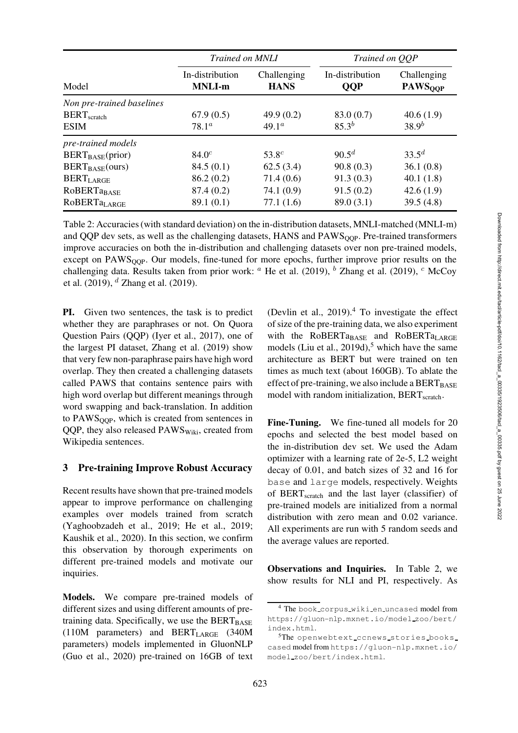|                                | <i>Trained on MNLI</i>           |                            | Trained on QQP                |                                          |
|--------------------------------|----------------------------------|----------------------------|-------------------------------|------------------------------------------|
| Model                          | In-distribution<br><b>MNLI-m</b> | Challenging<br><b>HANS</b> | In-distribution<br><b>QQP</b> | Challenging<br><b>PAWS<sub>QQP</sub></b> |
| Non pre-trained baselines      |                                  |                            |                               |                                          |
| $BERT_{\text{scratch}}$        | 67.9(0.5)                        | 49.9 $(0.2)$               | 83.0 (0.7)                    | 40.6(1.9)                                |
| <b>ESIM</b>                    | $78.1^{\circ}$                   | $49.1^{\circ}$             | $85.3^{b}$                    | $38.9^{b}$                               |
| pre-trained models             |                                  |                            |                               |                                          |
| $BERT_{BASE}(prior)$           | $84.0^{c}$                       | $53.8^{c}$                 | $90.5^d$                      | $33.5^{d}$                               |
| $BERT_{BASE} (ours)$           | 84.5(0.1)                        | 62.5(3.4)                  | 90.8(0.3)                     | 36.1(0.8)                                |
| <b>BERTLARGE</b>               | 86.2(0.2)                        | 71.4(0.6)                  | 91.3(0.3)                     | 40.1(1.8)                                |
| <b>ROBERTaBASE</b>             | 87.4(0.2)                        | 74.1 (0.9)                 | 91.5(0.2)                     | 42.6(1.9)                                |
| <b>ROBERTa<sub>LARGE</sub></b> | 89.1(0.1)                        | 77.1(1.6)                  | 89.0(3.1)                     | 39.5(4.8)                                |

<span id="page-2-2"></span>Table 2: Accuracies (with standard deviation) on the in-distribution datasets, MNLI-matched (MNLI-m) and QQP dev sets, as well as the challenging datasets, HANS and PAWS<sub>OOP</sub>. Pre-trained transformers improve accuracies on both the in-distribution and challenging datasets over non pre-trained models, except on PAWS<sub>OOP</sub>. Our models, fine-tuned for more epochs, further improve prior results on the chal[lenging data. Results taken from prior work:](#page-11-0) <sup>a</sup> [He et al.](#page-10-3) [\(2019\)](#page-12-0), <sup>b</sup> [Zhang et al.](#page-12-0) (2019), <sup>c</sup> McCoy et al. [\(2019\)](#page-11-0),  $^d$  [Zhang et al. \(2019](#page-12-0)).

PI. Given two sentences, the task is to predict whether they are paraphrases or not. On Quora Question Pairs (QQP) [\(Iyer et al.](#page-11-5), [2017](#page-11-5)), one of the largest PI dataset, [Zhang et al. \(2019](#page-12-0)) show that very few non-paraphrase pairs have high word overlap. They then created a challenging datasets called PAWS that contains sentence pairs with high word overlap but different meanings through word swapping and back-translation. In addition to  $PAWS<sub>OOP</sub>$ , which is created from sentences in QQP, they also released  $PAWS<sub>Wiki</sub>$ , created from Wikipedia sentences.

### 3 Pre-training Improve Robust Accuracy

Recent results have shown that pre-trained models appear to improve performance on challenging examples over models trained from scratch [\(Yaghoobzadeh et al., 2019;](#page-12-4) [He et al.](#page-10-3), [2019](#page-10-3); [Kaushik et al., 2020\)](#page-11-6). In this section, we confirm this observation by thorough experiments on different pre-trained models and motivate our inquiries.

Models. We compare pre-trained models of different sizes and using different amounts of pretraining data. Specifically, we use the  $BERT_{BASE}$ (110M parameters) and BERTLARGE (340M parameters) models implemented in GluonNLP [\(Guo et al., 2020](#page-10-7)) pre-trained on 16GB of text (Devlin et al.,  $2019$ ).<sup>[4](#page-2-0)</sup> To investigate the effect of size of the pre-training data, we also experiment with the RoBERTa $_{BASE}$  and RoBERTa $_{LARGE}$ models [\(Liu et al., 2019d](#page-11-7)),<sup>[5](#page-2-1)</sup> which have the same architecture as BERT but were trained on ten times as much text (about 160GB). To ablate the effect of pre-training, we also include a  $BERT_{BASE}$ model with random initialization,  $BERT_{\text{scratch}}$ .

Fine-Tuning. We fine-tuned all models for 20 epochs and selected the best model based on the in-distribution dev set. We used the Adam optimizer with a learning rate of 2e-5, L2 weight decay of 0.01, and batch sizes of 32 and 16 for base and large models, respectively. Weights of BERTscratch and the last layer (classifier) of pre-trained models are initialized from a normal distribution with zero mean and 0.02 variance. All experiments are run with 5 random seeds and the average values are reported.

Observations and Inquiries. In [Table 2,](#page-2-2) we show results for NLI and PI, respectively. As

<span id="page-2-0"></span><sup>&</sup>lt;sup>4</sup> The book\_corpus\_wiki\_en\_uncased model from [https://gluon-nlp.mxnet.io/model](https://gluon-nlp.mxnet.io/model_zoo/bert/index.html) zoo/bert/ [index.html](https://gluon-nlp.mxnet.io/model_zoo/bert/index.html).

<span id="page-2-1"></span><sup>&</sup>lt;sup>5</sup>The openwebtext ccnews stories books cased model from [https://gluon-nlp.mxnet.io/](https://gluon-nlp.mxnet.io/model_zoo/bert/index.html) model [zoo/bert/index.html](https://gluon-nlp.mxnet.io/model_zoo/bert/index.html).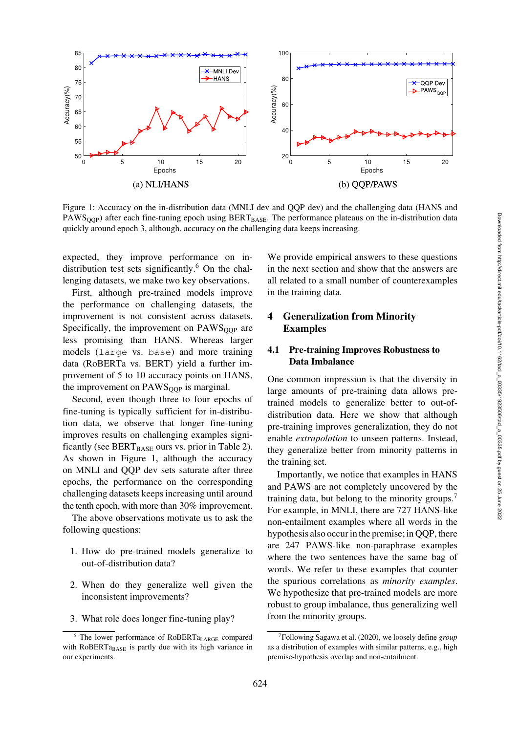

<span id="page-3-1"></span>Figure 1: Accuracy on the in-distribution data (MNLI dev and QQP dev) and the challenging data (HANS and PAWS<sub>QQP</sub>) after each fine-tuning epoch using BERT<sub>BASE</sub>. The performance plateaus on the in-distribution data quickly around epoch 3, although, accuracy on the challenging data keeps increasing.

expected, they improve performance on in-distribution test sets significantly.<sup>[6](#page-3-0)</sup> On the challenging datasets, we make two key observations.

First, although pre-trained models improve the performance on challenging datasets, the improvement is not consistent across datasets. Specifically, the improvement on  $PAWS<sub>OOP</sub>$  are less promising than HANS. Whereas larger models (large vs. base) and more training data (RoBERTa vs. BERT) yield a further improvement of 5 to 10 accuracy points on HANS, the improvement on  $PAWS<sub>OOP</sub>$  is marginal.

Second, even though three to four epochs of fine-tuning is typically sufficient for in-distribution data, we observe that longer fine-tuning improves results on challenging examples significantly (see  $BERT_{BASE}$  ours vs. prior in [Table 2\)](#page-2-2). As shown in [Figure 1,](#page-3-1) although the accuracy on MNLI and QQP dev sets saturate after three epochs, the performance on the corresponding challenging datasets keeps increasing until around the tenth epoch, with more than 30% improvement.

The above observations motivate us to ask the following questions:

- 1. How do pre-trained models generalize to out-of-distribution data?
- 2. When do they generalize well given the inconsistent improvements?
- 3. What role does longer fine-tuning play?

We provide empirical answers to these questions in the next section and show that the answers are all related to a small number of counterexamples in the training data.

### 4 Generalization from Minority Examples

### 4.1 Pre-training Improves Robustness to Data Imbalance

One common impression is that the diversity in large amounts of pre-training data allows pretrained models to generalize better to out-ofdistribution data. Here we show that although pre-training improves generalization, they do not enable *extrapolation* to unseen patterns. Instead, they generalize better from minority patterns in the training set.

Importantly, we notice that examples in HANS and PAWS are not completely uncovered by the training data, but belong to the minority groups.<sup>[7](#page-3-2)</sup> For example, in MNLI, there are 727 HANS-like non-entailment examples where all words in the hypothesis also occur in the premise; in QQP, there are 247 PAWS-like non-paraphrase examples where the two sentences have the same bag of words. We refer to these examples that counter the spurious correlations as *minority examples*. We hypothesize that pre-trained models are more robust to group imbalance, thus generalizing well from the minority groups.

<span id="page-3-0"></span><sup>6</sup> The lower performance of RoBERTaLARGE compared with RoBERTa<sub>BASE</sub> is partly due with its high variance in our experiments.

<span id="page-3-2"></span><sup>7</sup>Following [Sagawa et al. \(2020\)](#page-12-1), we loosely define *group* as a distribution of examples with similar patterns, e.g., high premise-hypothesis overlap and non-entailment.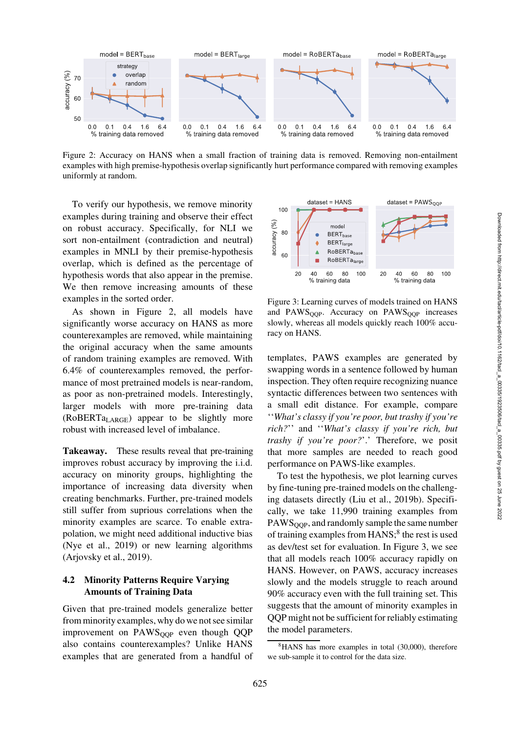

<span id="page-4-0"></span>Figure 2: Accuracy on HANS when a small fraction of training data is removed. Removing non-entailment examples with high premise-hypothesis overlap significantly hurt performance compared with removing examples uniformly at random.

To verify our hypothesis, we remove minority examples during training and observe their effect on robust accuracy. Specifically, for NLI we sort non-entailment (contradiction and neutral) examples in MNLI by their premise-hypothesis overlap, which is defined as the percentage of hypothesis words that also appear in the premise. We then remove increasing amounts of these examples in the sorted order.

As shown in [Figure 2,](#page-4-0) all models have significantly worse accuracy on HANS as more counterexamples are removed, while maintaining the original accuracy when the same amounts of random training examples are removed. With 6.4% of counterexamples removed, the performance of most pretrained models is near-random, as poor as non-pretrained models. Interestingly, larger models with more pre-training data (RoBERTaLARGE) appear to be slightly more robust with increased level of imbalance.

Takeaway. These results reveal that pre-training improves robust accuracy by improving the i.i.d. accuracy on minority groups, highlighting the importance of increasing data diversity when creating benchmarks. Further, pre-trained models still suffer from suprious correlations when the minority examples are scarce. To enable extrapolation, we might need additional inductive bias [\(Nye et al., 2019\)](#page-11-8) or new learning algorithms [\(Arjovsky et al., 2019](#page-10-9)).

### <span id="page-4-3"></span>4.2 Minority Patterns Require Varying Amounts of Training Data

Given that pre-trained models generalize better from minority examples, why do we not see similar improvement on PAWS<sub>OOP</sub> even though QQP also contains counterexamples? Unlike HANS examples that are generated from a handful of



<span id="page-4-2"></span>Figure 3: Learning curves of models trained on HANS and PAWS<sub>OOP</sub>. Accuracy on PAWS<sub>OOP</sub> increases slowly, whereas all models quickly reach 100% accuracy on HANS.

templates, PAWS examples are generated by swapping words in a sentence followed by human inspection. They often require recognizing nuance syntactic differences between two sentences with a small edit distance. For example, compare ''*What's classy if you're poor, but trashy if you're rich?*'' and ''*What's classy if you're rich, but trashy if you're poor?*'.' Therefore, we posit that more samples are needed to reach good performance on PAWS-like examples.

To test the hypothesis, we plot learning curves by fine-tuning pre-trained models on the challenging datasets directly [\(Liu et al.](#page-11-9), [2019b\)](#page-11-9). Specifically, we take 11,990 training examples from  $PAWS<sub>OOP</sub>$ , and randomly sample the same number of training examples from HANS;<sup>[8](#page-4-1)</sup> the rest is used as dev/test set for evaluation. In [Figure 3,](#page-4-2) we see that all models reach 100% accuracy rapidly on HANS. However, on PAWS, accuracy increases slowly and the models struggle to reach around 90% accuracy even with the full training set. This suggests that the amount of minority examples in QQP might not be sufficient for reliably estimating the model parameters.

<span id="page-4-1"></span><sup>&</sup>lt;sup>8</sup>HANS has more examples in total (30,000), therefore we sub-sample it to control for the data size.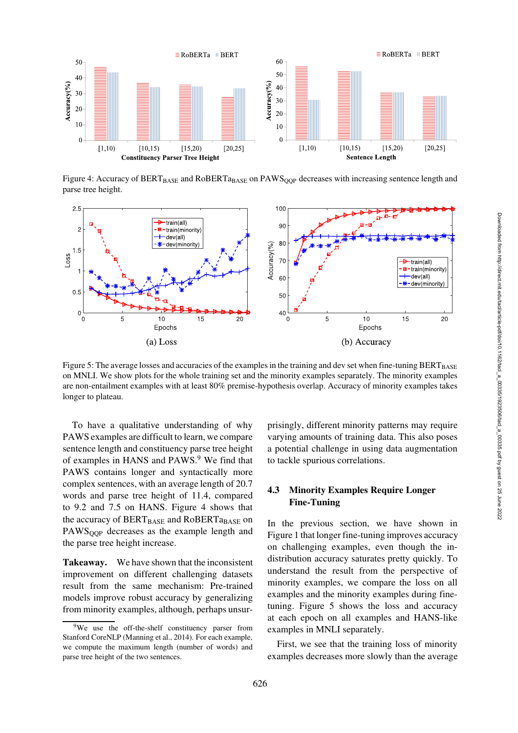

<span id="page-5-1"></span>Figure 4: Accuracy of BERT<sub>BASE</sub> and RoBERTa<sub>BASE</sub> on PAWS<sub>OOP</sub> decreases with increasing sentence length and parse tree height.



<span id="page-5-2"></span>Figure 5: The average losses and accuracies of the examples in the training and dev set when fine-tuning BERT<sub>BASE</sub> on MNLI. We show plots for the whole training set and the minority examples separately. The minority examples are non-entailment examples with at least 80% premise-hypothesis overlap. Accuracy of minority examples takes longer to plateau.

To have a qualitative understanding of why PAWS examples are difficult to learn, we compare sentence length and constituency parse tree height of examples in HANS and PAWS.<sup>[9](#page-5-0)</sup> We find that PAWS contains longer and syntactically more complex sentences, with an average length of 20.7 words and parse tree height of 11.4, compared to 9.2 and 7.5 on HANS. [Figure 4](#page-5-1) shows that the accuracy of  $BERT_{BASE}$  and  $RoBERT_{BASE}$  on PAWS<sub>OOP</sub> decreases as the example length and the parse tree height increase.

Takeaway. We have shown that the inconsistent improvement on different challenging datasets result from the same mechanism: Pre-trained models improve robust accuracy by generalizing from minority examples, although, perhaps unsurprisingly, different minority patterns may require varying amounts of training data. This also poses a potential challenge in using data augmentation to tackle spurious correlations.

### 4.3 Minority Examples Require Longer Fine-Tuning

In the previous section, we have shown in [Figure 1](#page-3-1) that longer fine-tuning improves accuracy on challenging examples, even though the indistribution accuracy saturates pretty quickly. To understand the result from the perspective of minority examples, we compare the loss on all examples and the minority examples during finetuning. [Figure 5](#page-5-2) shows the loss and accuracy at each epoch on all examples and HANS-like examples in MNLI separately.

First, we see that the training loss of minority examples decreases more slowly than the average

<span id="page-5-0"></span><sup>&</sup>lt;sup>9</sup>We use the off-the-shelf constituency parser from Stanford CoreNLP [\(Manning et al., 2014](#page-11-10)). For each example, we compute the maximum length (number of words) and parse tree height of the two sentences.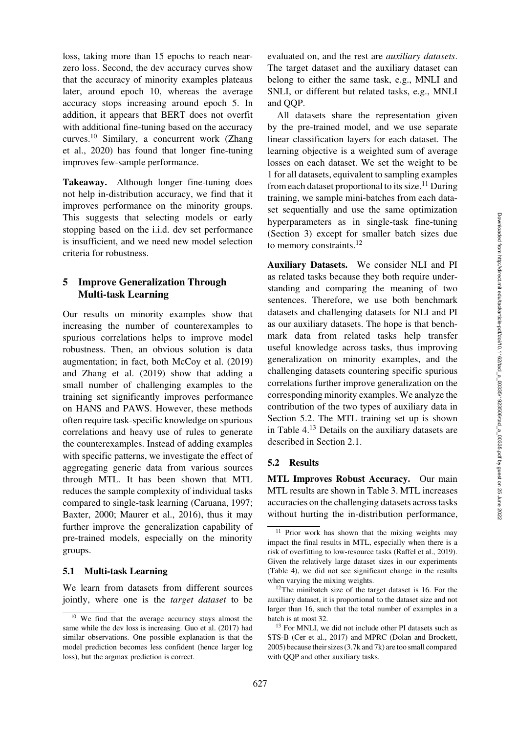loss, taking more than 15 epochs to reach nearzero loss. Second, the dev accuracy curves show that the accuracy of minority examples plateaus later, around epoch 10, whereas the average accuracy stops increasing around epoch 5. In addition, it appears that BERT does not overfit with additional fine-tuning based on the accuracy curves.[10](#page-6-0) [Similary, a concurrent work \(](#page-12-5)Zhang et al., [2020](#page-12-5)) has found that longer fine-tuning improves few-sample performance.

Takeaway. Although longer fine-tuning does not help in-distribution accuracy, we find that it improves performance on the minority groups. This suggests that selecting models or early stopping based on the i.i.d. dev set performance is insufficient, and we need new model selection criteria for robustness.

# 5 Improve Generalization Through Multi-task Learning

Our results on minority examples show that increasing the number of counterexamples to spurious correlations helps to improve model robustness. Then, an obvious solution is data augmentation; in fact, both [McCoy et al.](#page-11-0) [\(2019\)](#page-11-0) and [Zhang et al. \(2019](#page-12-0)) show that adding a small number of challenging examples to the training set significantly improves performance on HANS and PAWS. However, these methods often require task-specific knowledge on spurious correlations and heavy use of rules to generate the counterexamples. Instead of adding examples with specific patterns, we investigate the effect of aggregating generic data from various sources through MTL. It has been shown that MTL reduces the sample complexity of individual tasks compared to single-task learning [\(Caruana, 1997](#page-10-10); [Baxter](#page-10-11), [2000;](#page-10-11) [Maurer et al., 2016](#page-11-11)), thus it may further improve the generalization capability of pre-trained models, especially on the minority groups.

#### 5.1 Multi-task Learning

We learn from datasets from different sources jointly, where one is the *target dataset* to be evaluated on, and the rest are *auxiliary datasets*. The target dataset and the auxiliary dataset can belong to either the same task, e.g., MNLI and SNLI, or different but related tasks, e.g., MNLI and QQP.

All datasets share the representation given by the pre-trained model, and we use separate linear classification layers for each dataset. The learning objective is a weighted sum of average losses on each dataset. We set the weight to be 1 for all datasets, equivalent to sampling examples from each dataset proportional to its size.<sup>[11](#page-6-1)</sup> During training, we sample mini-batches from each dataset sequentially and use the same optimization hyperparameters as in single-task fine-tuning (Section 3) except for smaller batch sizes due to memory constraints.<sup>[12](#page-6-2)</sup>

Auxiliary Datasets. We consider NLI and PI as related tasks because they both require understanding and comparing the meaning of two sentences. Therefore, we use both benchmark datasets and challenging datasets for NLI and PI as our auxiliary datasets. The hope is that benchmark data from related tasks help transfer useful knowledge across tasks, thus improving generalization on minority examples, and the challenging datasets countering specific spurious correlations further improve generalization on the corresponding minority examples. We analyze the contribution of the two types of auxiliary data in Section [5.2.](#page-6-3) The MTL training set up is shown in [Table 4.](#page-7-0)[13](#page-6-4) Details on the auxiliary datasets are described in Section [2.1.](#page-1-2)

#### <span id="page-6-3"></span>5.2 Results

MTL Improves Robust Accuracy. Our main MTL results are shown in [Table 3.](#page-7-1) MTL increases accuracies on the challenging datasets across tasks without hurting the in-distribution performance,

<span id="page-6-0"></span><sup>10</sup> We find that the average accuracy stays almost the same while the dev loss is increasing. [Guo et al.](#page-10-12) [\(2017](#page-10-12)) had similar observations. One possible explanation is that the model prediction becomes less confident (hence larger log loss), but the argmax prediction is correct.

<span id="page-6-1"></span><sup>&</sup>lt;sup>11</sup> Prior work has shown that the mixing weights may impact the final results in MTL, especially when there is a risk of overfitting to low-resource tasks [\(Raffel et al., 2019](#page-12-6)). Given the relatively large dataset sizes in our experiments [\(Table 4\)](#page-7-0), we did not see significant change in the results when varying the mixing weights.

<span id="page-6-2"></span> $12$ The minibatch size of the target dataset is 16. For the auxiliary dataset, it is proportional to the dataset size and not larger than 16, such that the total number of examples in a batch is at most 32.

<span id="page-6-4"></span><sup>&</sup>lt;sup>13</sup> For MNLI, we did not include other PI datasets such as STS-B [\(Cer et al.](#page-10-13), [2017](#page-10-13)) and MPRC [\(Dolan and Brockett](#page-10-14), [2005](#page-10-14)) because their sizes (3.7k and 7k) are too small compared with QQP and other auxiliary tasks.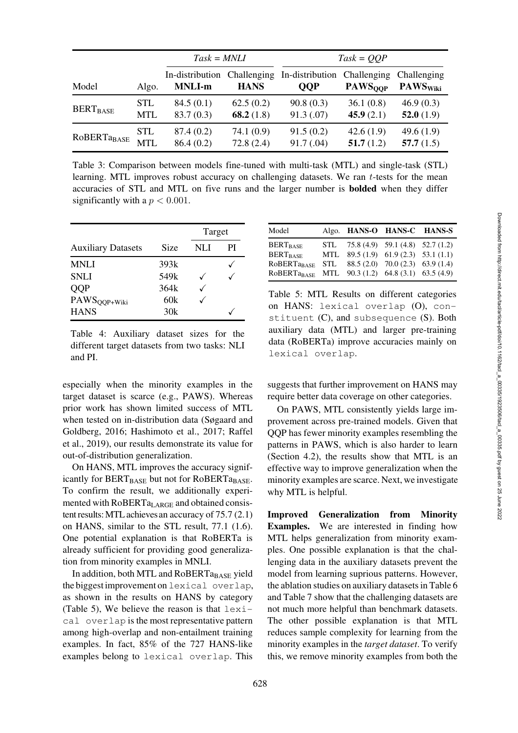|               |            | $Task = MNLI$                    |                            | $Task = QQP$                  |                                          |                                            |
|---------------|------------|----------------------------------|----------------------------|-------------------------------|------------------------------------------|--------------------------------------------|
| Model         | Algo.      | In-distribution<br><b>MNLI-m</b> | Challenging<br><b>HANS</b> | In-distribution<br><b>QQP</b> | Challenging<br><b>PAWS<sub>OOP</sub></b> | Challenging<br><b>PAWS</b> <sub>Wiki</sub> |
| $BERT_{BASE}$ | <b>STL</b> | 84.5(0.1)                        | 62.5(0.2)                  | 90.8(0.3)                     | 36.1(0.8)                                | 46.9(0.3)                                  |
|               | <b>MTL</b> | 83.7(0.3)                        | 68.2 $(1.8)$               | 91.3(0.07)                    | 45.9 $(2.1)$                             | 52.0 $(1.9)$                               |
| ROBERTaBASE   | <b>STL</b> | 87.4(0.2)                        | 74.1 (0.9)                 | 91.5(0.2)                     | 42.6(1.9)                                | 49.6(1.9)                                  |
|               | <b>MTL</b> | 86.4(0.2)                        | 72.8(2.4)                  | 91.7(.04)                     | 51.7(1.2)                                | 57.7 $(1.5)$                               |

<span id="page-7-1"></span>Table 3: Comparison between models fine-tuned with multi-task (MTL) and single-task (STL) learning. MTL improves robust accuracy on challenging datasets. We ran  $t$ -tests for the mean accuracies of STL and MTL on five runs and the larger number is bolded when they differ significantly with a  $p < 0.001$ .

|                           |                  | Target |    |
|---------------------------|------------------|--------|----|
| <b>Auxiliary Datasets</b> | Size             | NLI    | РI |
| <b>MNLI</b>               | 393k             |        |    |
| <b>SNLI</b>               | 549 <sub>k</sub> |        |    |
| <b>OOP</b>                | 364k             |        |    |
| PAWS <sub>QQP+Wiki</sub>  | 60k              |        |    |
| <b>HANS</b>               | 30k              |        |    |

<span id="page-7-0"></span>Table 4: Auxiliary dataset sizes for the different target datasets from two tasks: NLI and PI.

especially when the minority examples in the target dataset is scarce (e.g., PAWS). Whereas prior work has shown limited success of MTL when tes[ted on in-distribution data \(](#page-12-2)Søgaard and Gold[berg,](#page-12-6) [2016](#page-12-2)[;](#page-12-6) [Hashimoto et al.](#page-10-5)[,](#page-12-6) [2017](#page-10-5)[;](#page-12-6) Raffel et al., [2019\)](#page-12-6), our results demonstrate its value for out-of-distribution generalization.

On HANS, MTL improves the accuracy significantly for BERTBASE but not for RoBERTaBASE. To confirm the result, we additionally experimented with  $RoBERTa<sub>LARGE</sub>$  and obtained consistent results:MTL achievesan accuracy of 75.7 (2.1) on HANS, similar to the STL result, 77.1 (1.6). One potential explanation is that RoBERTa is already sufficient for providing good generalization from minority examples in MNLI.

In addition, both MTL and RoBERT $a_{\text{BASE}}$  yield the biggest improvement on lexical overlap, as shown in the results on HANS by category [\(Table 5\)](#page-7-2), We believe the reason is that  $l$ exical overlap is the most representative pattern among high-overlap and non-entailment training examples. In fact, 85% of the 727 HANS-like examples belong to lexical overlap. This

| Model                                                        | Algo. HANS-O HANS-C HANS-S            |  |
|--------------------------------------------------------------|---------------------------------------|--|
| <b>BERT</b> <sub>BASE</sub>                                  | STL $75.8(4.9)$ 59.1 (4.8) 52.7 (1.2) |  |
| <b>BERT</b> RASE                                             | MTL $89.5(1.9)$ 61.9 (2.3) 53.1 (1.1) |  |
| ROBERTa <sub>BASE</sub>                                      | STL $88.5(2.0)$ 70.0 (2.3) 63.9 (1.4) |  |
| RoBERTa <sub>BASE</sub> MTL 90.3 (1.2) 64.8 (3.1) 63.5 (4.9) |                                       |  |

<span id="page-7-2"></span>Table 5: MTL Results on different categories on HANS: lexical overlap (O), constituent  $(C)$ , and subsequence  $(S)$ . Both auxiliary data (MTL) and larger pre-training data (RoBERTa) improve accuracies mainly on lexical overlap.

suggests that further improvement on HANS may require better data coverage on other categories.

On PAWS, MTL consistently yields large improvement across pre-trained models. Given that QQP has fewer minority examples resembling the patterns in PAWS, which is also harder to learn (Section [4.2\)](#page-4-3), the results show that MTL is an effective way to improve generalization when the minority examples are scarce. Next, we investigate why MTL is helpful.

Improved Generalization from Minority Examples. We are interested in finding how MTL helps generalization from minority examples. One possible explanation is that the challenging data in the auxiliary datasets prevent the model from learning suprious patterns. However, the ablation studies on auxiliary datasets in [Table 6](#page-8-0) and [Table 7](#page-8-1) show that the challenging datasets are not much more helpful than benchmark datasets. The other possible explanation is that MTL reduces sample complexity for learning from the minority examples in the *target dataset*. To verify this, we remove minority examples from both the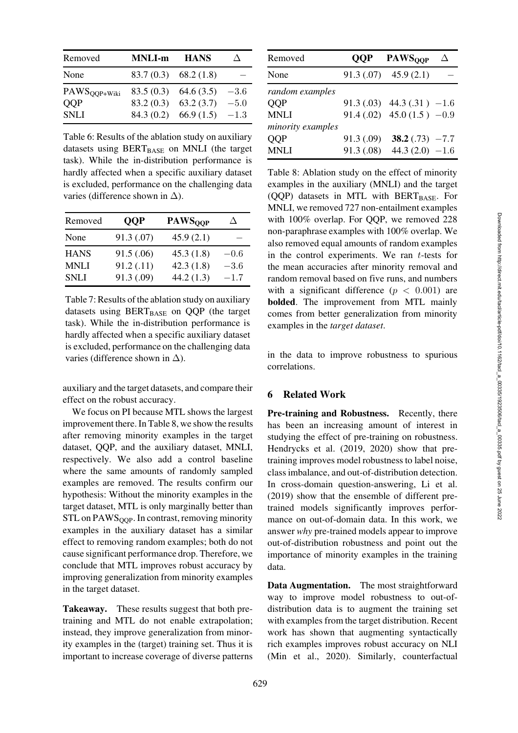| Removed        | <b>MNLI-m</b> | <b>HANS</b>            |        |
|----------------|---------------|------------------------|--------|
| None           |               | $83.7(0.3)$ 68.2(1.8)  |        |
| $PAWSQQP+Wiki$ |               | $83.5(0.3)$ 64.6 (3.5) | $-3.6$ |
| <b>OOP</b>     |               | $83.2(0.3)$ 63.2(3.7)  | $-5.0$ |
| <b>SNLI</b>    |               | $84.3(0.2)$ 66.9 (1.5) | $-1.3$ |

<span id="page-8-0"></span>Table 6: Results of the ablation study on auxiliary datasets using  $BERT_{BASE}$  on MNLI (the target task). While the in-distribution performance is hardly affected when a specific auxiliary dataset is excluded, performance on the challenging data varies (difference shown in  $\Delta$ ).

| Removed     | <b>OOP</b> | <b>PAWSOOP</b> |        |
|-------------|------------|----------------|--------|
| None        | 91.3 (.07) | 45.9(2.1)      |        |
| <b>HANS</b> | 91.5(.06)  | 45.3(1.8)      | $-0.6$ |
| <b>MNLI</b> | 91.2(.11)  | 42.3(1.8)      | $-3.6$ |
| <b>SNLI</b> | 91.3 (.09) | 44.2(1.3)      | $-1.7$ |

<span id="page-8-1"></span>Table 7: Results of the ablation study on auxiliary datasets using  $BERT_{BASE}$  on QQP (the target task). While the in-distribution performance is hardly affected when a specific auxiliary dataset is excluded, performance on the challenging data varies (difference shown in  $\Delta$ ).

auxiliary and the target datasets, and compare their effect on the robust accuracy.

We focus on PI because MTL shows the largest improvement there. In [Table 8,](#page-8-2) we show the results after removing minority examples in the target dataset, QQP, and the auxiliary dataset, MNLI, respectively. We also add a control baseline where the same amounts of randomly sampled examples are removed. The results confirm our hypothesis: Without the minority examples in the target dataset, MTL is only marginally better than STL on PAWS<sub>OOP</sub>. In contrast, removing minority examples in the auxiliary dataset has a similar effect to removing random examples; both do not cause significant performance drop. Therefore, we conclude that MTL improves robust accuracy by improving generalization from minority examples in the target dataset.

Takeaway. These results suggest that both pretraining and MTL do not enable extrapolation; instead, they improve generalization from minority examples in the (target) training set. Thus it is important to increase coverage of diverse patterns

| Removed           |            | <b>QQP</b> PAWS <sub>OOP</sub> | Δ |
|-------------------|------------|--------------------------------|---|
| None              |            | $91.3(.07)$ $45.9(2.1)$        |   |
| random examples   |            |                                |   |
| <b>QOP</b>        |            | $91.3(.03)$ 44.3 (.31) $-1.6$  |   |
| MNLI              |            | 91.4 (.02) 45.0 (1.5) $-0.9$   |   |
| minority examples |            |                                |   |
| QQP               | 91.3 (.09) | 38.2 $(.73) -7.7$              |   |
| MNLI              |            | 91.3 (.08) 44.3 (2.0) $-1.6$   |   |
|                   |            |                                |   |

<span id="page-8-2"></span>Table 8: Ablation study on the effect of minority examples in the auxiliary (MNLI) and the target (QQP) datasets in MTL with BERT $_{\text{BASE}}$ . For MNLI, we removed 727 non-entailment examples with 100% overlap. For QQP, we removed 228 non-paraphrase examples with 100% overlap. We also removed equal amounts of random examples in the control experiments. We ran  $t$ -tests for the mean accuracies after minority removal and random removal based on five runs, and numbers with a significant difference  $(p < 0.001)$  are bolded. The improvement from MTL mainly comes from better generalization from minority examples in the *target dataset*.

in the data to improve robustness to spurious correlations.

### 6 Related Work

Pre-training and Robustness. Recently, there has been an increasing amount of interest in studying the effect of pre-training on robustness. [Hendrycks et al.](#page-11-3) [\(2019,](#page-11-3) [2020](#page-11-4)) show that pretraining improves model robustness to label noise, class imbalance, and out-of-distribution detection. In cross-domain question-answering, [Li et al.](#page-11-12) [\(2019](#page-11-12)) show that the ensemble of different pretrained models significantly improves performance on out-of-domain data. In this work, we answer *why* pre-trained models appear to improve out-of-distribution robustness and point out the importance of minority examples in the training data.

Data Augmentation. The most straightforward way to improve model robustness to out-ofdistribution data is to augment the training set with examples from the target distribution. Recent work has shown that augmenting syntactically rich examples improves robust accuracy on NLI [\(Min et al., 2020\)](#page-11-13). Similarly, counterfactual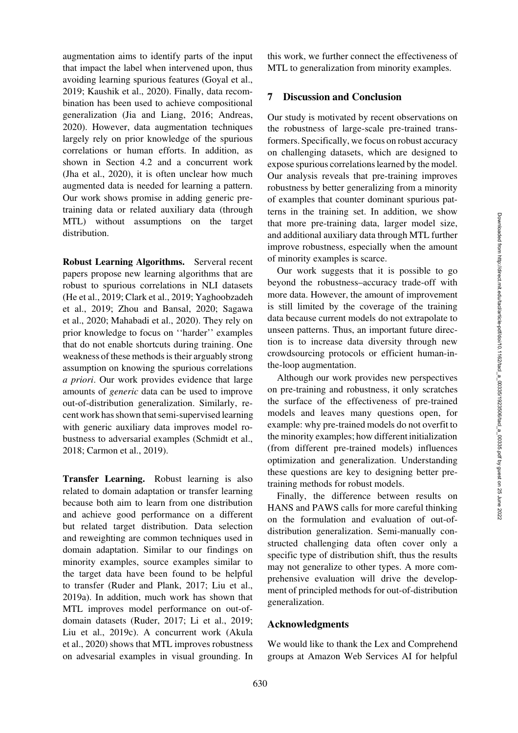augmentation aims to identify parts of the input that impact the label when intervened upon, thus avoiding learning spurious features [\(Goyal et al.,](#page-10-15) [2019](#page-10-15); [Kaushik et al.](#page-11-6), [2020\)](#page-11-6). Finally, data recombination has been used to achieve compositional generalization [\(Jia and Liang, 2016;](#page-11-14) [Andreas,](#page-10-16) [2020](#page-10-16)). However, data augmentation techniques largely rely on prior knowledge of the spurious correlations or human efforts. In addition, as shown in Section [4.2](#page-4-3) and a concurrent work [\(Jha et al.](#page-11-15), [2020\)](#page-11-15), it is often unclear how much augmented data is needed for learning a pattern. Our work shows promise in adding generic pretraining data or related auxiliary data (through MTL) without assumptions on the target distribution.

Robust Learning Algorithms. Serveral recent papers propose new learning algorithms that are robust to spurious correlations in NLI datasets [\(He et al.](#page-10-3)[,](#page-12-4) [2019](#page-10-3)[;](#page-12-4) [Clark et al.](#page-10-4)[,](#page-12-4) [2019](#page-10-4)[;](#page-12-4) Yaghoobzadeh et al[.,](#page-12-1) [2019](#page-12-4)[;](#page-12-1) [Zhou and Bansal](#page-12-7)[,](#page-12-1) [2020](#page-12-7)[;](#page-12-1) Sagawa et al., [2020;](#page-12-1) [Mahabadi et al.](#page-11-16), [2020](#page-11-16)). They rely on prior knowledge to focus on ''harder'' examples that do not enable shortcuts during training. One weakness of these methods is their arguably strong assumption on knowing the spurious correlations *a priori*. Our work provides evidence that large amounts of *generic* data can be used to improve out-of-distribution generalization. Similarly, recent work has shown that semi-supervised learning with generic auxiliary data improves model robustness to adversarial examples [\(Schmidt et al.,](#page-12-8) [2018](#page-12-8); [Carmon et al.](#page-10-17), [2019\)](#page-10-17).

Transfer Learning. Robust learning is also related to domain adaptation or transfer learning because both aim to learn from one distribution and achieve good performance on a different but related target distribution. Data selection and reweighting are common techniques used in domain adaptation. Similar to our findings on minority examples, source examples similar to the target data have been found to be helpful to transfer [\(Ruder and Plank, 2017;](#page-12-9) [Liu et al.,](#page-11-17) [2019a](#page-11-17)). In addition, much work has shown that MTL improves model performance on out-ofdomain datasets [\(Ruder, 2017;](#page-12-10) [Li et al.](#page-11-12), [2019](#page-11-12); [Liu et al.](#page-11-18)[,](#page-10-18) [2019c](#page-11-18)[\). A concurrent work \(](#page-10-18)Akula et al., [2020](#page-10-18)) shows that MTL improves robustness on advesarial examples in visual grounding. In this work, we further connect the effectiveness of MTL to generalization from minority examples.

### 7 Discussion and Conclusion

Our study is motivated by recent observations on the robustness of large-scale pre-trained transformers. Specifically, we focus on robust accuracy on challenging datasets, which are designed to expose spurious correlations learned by the model. Our analysis reveals that pre-training improves robustness by better generalizing from a minority of examples that counter dominant spurious patterns in the training set. In addition, we show that more pre-training data, larger model size, and additional auxiliary data through MTL further improve robustness, especially when the amount of minority examples is scarce.

Our work suggests that it is possible to go beyond the robustness–accuracy trade-off with more data. However, the amount of improvement is still limited by the coverage of the training data because current models do not extrapolate to unseen patterns. Thus, an important future direction is to increase data diversity through new crowdsourcing protocols or efficient human-inthe-loop augmentation.

Although our work provides new perspectives on pre-training and robustness, it only scratches the surface of the effectiveness of pre-trained models and leaves many questions open, for example: why pre-trained models do not overfit to the minority examples; how different initialization (from different pre-trained models) influences optimization and generalization. Understanding these questions are key to designing better pretraining methods for robust models.

Finally, the difference between results on HANS and PAWS calls for more careful thinking on the formulation and evaluation of out-ofdistribution generalization. Semi-manually constructed challenging data often cover only a specific type of distribution shift, thus the results may not generalize to other types. A more comprehensive evaluation will drive the development of principled methods for out-of-distribution generalization.

#### Acknowledgments

We would like to thank the Lex and Comprehend groups at Amazon Web Services AI for helpful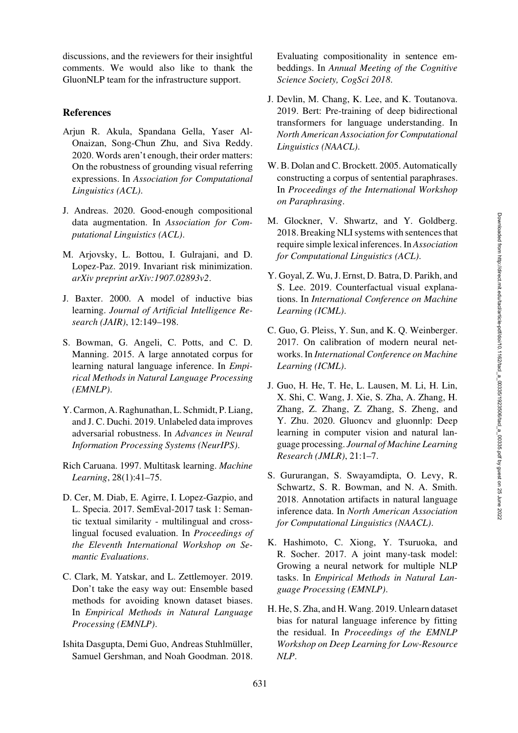discussions, and the reviewers for their insightful comments. We would also like to thank the GluonNLP team for the infrastructure support.

# References

- <span id="page-10-18"></span>Arjun R. Akula, Spandana Gella, Yaser Al-Onaizan, Song-Chun Zhu, and Siva Reddy. 2020. Words aren't enough, their order matters: On the robustness of grounding visual referring expressions. In *Association for Computational Linguistics (ACL)*.
- <span id="page-10-16"></span>J. Andreas. 2020. Good-enough compositional data augmentation. In *Association for Computational Linguistics (ACL)*.
- <span id="page-10-9"></span>M. Arjovsky, L. Bottou, I. Gulrajani, and D. Lopez-Paz. 2019. Invariant risk minimization. *arXiv preprint arXiv:1907.02893v2*.
- <span id="page-10-11"></span>J. Baxter. 2000. A model of inductive bias learning. *Journal of Artificial Intelligence Research (JAIR)*, 12:149–198.
- <span id="page-10-6"></span>S. Bowman, G. Angeli, C. Potts, and C. D. Manning. 2015. A large annotated corpus for learning natural language inference. In *Empirical Methods in Natural Language Processing (EMNLP)*.
- <span id="page-10-17"></span>Y. Carmon, A. Raghunathan, L. Schmidt, P. Liang, and J. C. Duchi. 2019. Unlabeled data improves adversarial robustness. In *Advances in Neural Information Processing Systems (NeurIPS)*.
- <span id="page-10-10"></span>Rich Caruana. 1997. Multitask learning. *Machine Learning*, 28(1):41–75.
- <span id="page-10-13"></span>D. Cer, M. Diab, E. Agirre, I. Lopez-Gazpio, and L. Specia. 2017. SemEval-2017 task 1: Semantic textual similarity - multilingual and crosslingual focused evaluation. In *Proceedings of the Eleventh International Workshop on Semantic Evaluations*.
- <span id="page-10-4"></span>C. Clark, M. Yatskar, and L. Zettlemoyer. 2019. Don't take the easy way out: Ensemble based methods for avoiding known dataset biases. In *Empirical Methods in Natural Language Processing (EMNLP)*.
- <span id="page-10-0"></span>Ishita Dasgupta, Demi Guo, Andreas Stuhlmüller, Samuel Gershman, and Noah Goodman. 2018.

Evaluating compositionality in sentence embeddings. In *Annual Meeting of the Cognitive Science Society, CogSci 2018*.

- <span id="page-10-8"></span>J. Devlin, M. Chang, K. Lee, and K. Toutanova. 2019. Bert: Pre-training of deep bidirectional transformers for language understanding. In *North American Association for Computational Linguistics (NAACL)*.
- <span id="page-10-14"></span>W. B. Dolan and C. Brockett. 2005. Automatically constructing a corpus of sentential paraphrases. In *Proceedings of the International Workshop on Paraphrasing*.
- <span id="page-10-1"></span>M. Glockner, V. Shwartz, and Y. Goldberg. 2018. Breaking NLI systems with sentences that require simple lexical inferences. In *Association for Computational Linguistics (ACL)*.
- <span id="page-10-15"></span>Y. Goyal, Z. Wu, J. Ernst, D. Batra, D. Parikh, and S. Lee. 2019. Counterfactual visual explanations. In *International Conference on Machine Learning (ICML)*.
- <span id="page-10-12"></span>C. Guo, G. Pleiss, Y. Sun, and K. Q. Weinberger. 2017. On calibration of modern neural networks. In *International Conference on Machine Learning (ICML)*.
- <span id="page-10-7"></span>J. Guo, H. He, T. He, L. Lausen, M. Li, H. Lin, X. Shi, C. Wang, J. Xie, S. Zha, A. Zhang, H. Zhang, Z. Zhang, Z. Zhang, S. Zheng, and Y. Zhu. 2020. Gluoncv and gluonnlp: Deep learning in computer vision and natural language processing. *Journal of Machine Learning Research (JMLR)*, 21:1–7.
- <span id="page-10-2"></span>S. Gururangan, S. Swayamdipta, O. Levy, R. Schwartz, S. R. Bowman, and N. A. Smith. 2018. Annotation artifacts in natural language inference data. In *North American Association for Computational Linguistics (NAACL)*.
- <span id="page-10-5"></span>K. Hashimoto, C. Xiong, Y. Tsuruoka, and R. Socher. 2017. A joint many-task model: Growing a neural network for multiple NLP tasks. In *Empirical Methods in Natural Language Processing (EMNLP)*.
- <span id="page-10-3"></span>H. He, S. Zha, and H. Wang. 2019. Unlearn dataset bias for natural language inference by fitting the residual. In *Proceedings of the EMNLP Workshop on Deep Learning for Low-Resource NLP*.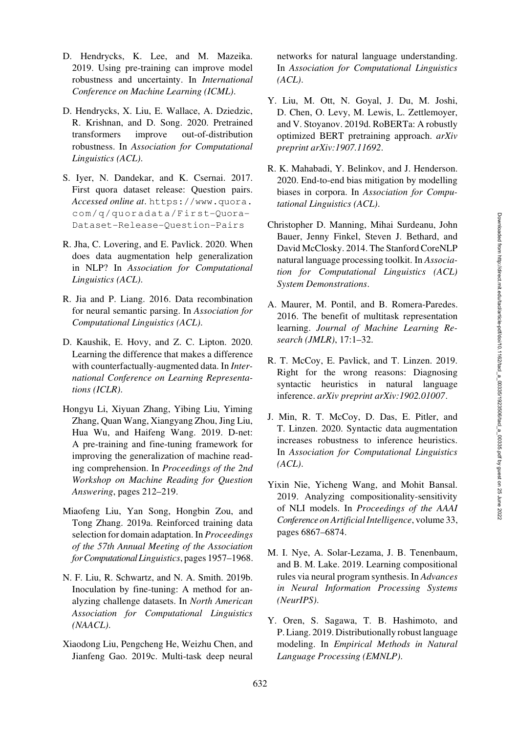- <span id="page-11-3"></span>D. Hendrycks, K. Lee, and M. Mazeika. 2019. Using pre-training can improve model robustness and uncertainty. In *International Conference on Machine Learning (ICML)*.
- <span id="page-11-4"></span>D. Hendrycks, X. Liu, E. Wallace, A. Dziedzic, R. Krishnan, and D. Song. 2020. Pretrained transformers improve out-of-distribution robustness. In *Association for Computational Linguistics (ACL)*.
- <span id="page-11-5"></span>S. Iyer, N. Dandekar, and K. Csernai. 2017. First quora dataset release: Question pairs. *Accessed online at*. [https://www.quora.](https://www.quora.com/q/quoradata/First-Quora-Dataset-Release-Question-Pairs) [com/q/quoradata/First-Quora-](https://www.quora.com/q/quoradata/First-Quora-Dataset-Release-Question-Pairs)[Dataset-Release-Question-Pairs](https://www.quora.com/q/quoradata/First-Quora-Dataset-Release-Question-Pairs)
- <span id="page-11-15"></span>R. Jha, C. Lovering, and E. Pavlick. 2020. When does data augmentation help generalization in NLP? In *Association for Computational Linguistics (ACL)*.
- <span id="page-11-14"></span>R. Jia and P. Liang. 2016. Data recombination for neural semantic parsing. In *Association for Computational Linguistics (ACL)*.
- <span id="page-11-6"></span>D. Kaushik, E. Hovy, and Z. C. Lipton. 2020. Learning the difference that makes a difference with counterfactually-augmented data. In *International Conference on Learning Representations (ICLR)*.
- <span id="page-11-12"></span>Hongyu Li, Xiyuan Zhang, Yibing Liu, Yiming Zhang, Quan Wang, Xiangyang Zhou, Jing Liu, Hua Wu, and Haifeng Wang. 2019. D-net: A pre-training and fine-tuning framework for improving the generalization of machine reading comprehension. In *Proceedings of the 2nd Workshop on Machine Reading for Question Answering*, pages 212–219.
- <span id="page-11-17"></span>Miaofeng Liu, Yan Song, Hongbin Zou, and Tong Zhang. 2019a. Reinforced training data selection for domain adaptation. In *Proceedings of the 57th Annual Meeting of the Association forComputationalLinguistics*, pages 1957–1968.
- <span id="page-11-9"></span>N. F. Liu, R. Schwartz, and N. A. Smith. 2019b. Inoculation by fine-tuning: A method for analyzing challenge datasets. In *North American Association for Computational Linguistics (NAACL)*.
- <span id="page-11-18"></span>Xiaodong Liu, Pengcheng He, Weizhu Chen, and Jianfeng Gao. 2019c. Multi-task deep neural

networks for natural language understanding. In *Association for Computational Linguistics (ACL)*.

- <span id="page-11-7"></span>Y. Liu, M. Ott, N. Goyal, J. Du, M. Joshi, D. Chen, O. Levy, M. Lewis, L. Zettlemoyer, and V. Stoyanov. 2019d. RoBERTa: A robustly optimized BERT pretraining approach. *arXiv preprint arXiv:1907.11692*.
- <span id="page-11-16"></span>R. K. Mahabadi, Y. Belinkov, and J. Henderson. 2020. End-to-end bias mitigation by modelling biases in corpora. In *Association for Computational Linguistics (ACL)*.
- <span id="page-11-10"></span>Christopher D. Manning, Mihai Surdeanu, John Bauer, Jenny Finkel, Steven J. Bethard, and David McClosky. 2014. The Stanford CoreNLP natural language processing toolkit. In *Association for Computational Linguistics (ACL) System Demonstrations*.
- <span id="page-11-11"></span>A. Maurer, M. Pontil, and B. Romera-Paredes. 2016. The benefit of multitask representation learning. *Journal of Machine Learning Research (JMLR)*, 17:1–32.
- <span id="page-11-0"></span>R. T. McCoy, E. Pavlick, and T. Linzen. 2019. Right for the wrong reasons: Diagnosing syntactic heuristics in natural language inference. *arXiv preprint arXiv:1902.01007*.
- <span id="page-11-13"></span>J. Min, R. T. McCoy, D. Das, E. Pitler, and T. Linzen. 2020. Syntactic data augmentation increases robustness to inference heuristics. In *Association for Computational Linguistics (ACL)*.
- <span id="page-11-1"></span>Yixin Nie, Yicheng Wang, and Mohit Bansal. 2019. Analyzing compositionality-sensitivity of NLI models. In *Proceedings of the AAAI Conference on Artificial Intelligence*, volume 33, pages 6867–6874.
- <span id="page-11-8"></span>M. I. Nye, A. Solar-Lezama, J. B. Tenenbaum, and B. M. Lake. 2019. Learning compositional rules via neural program synthesis. In *Advances in Neural Information Processing Systems (NeurIPS)*.
- <span id="page-11-2"></span>Y. Oren, S. Sagawa, T. B. Hashimoto, and P. Liang. 2019. Distributionally robust language modeling. In *Empirical Methods in Natural Language Processing (EMNLP)*.